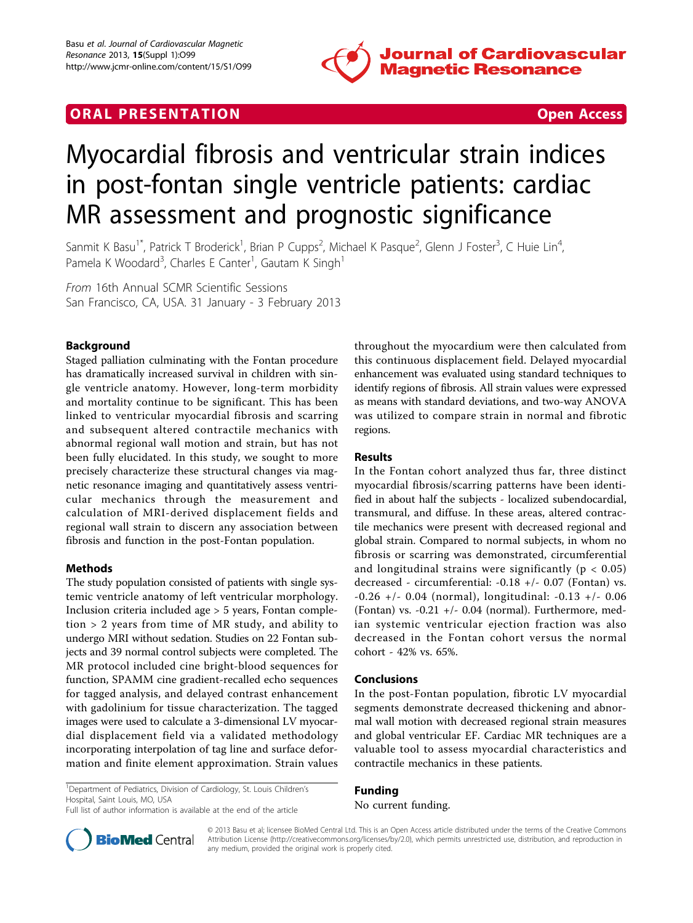

## **ORAL PRESENTATION CONSUMING ACCESS**



# Myocardial fibrosis and ventricular strain indices in post-fontan single ventricle patients: cardiac MR assessment and prognostic significance

Sanmit K Basu<sup>1\*</sup>, Patrick T Broderick<sup>1</sup>, Brian P Cupps<sup>2</sup>, Michael K Pasque<sup>2</sup>, Glenn J Foster<sup>3</sup>, C Huie Lin<sup>4</sup> , Pamela K Woodard<sup>3</sup>, Charles E Canter<sup>1</sup>, Gautam K Singh<sup>1</sup>

From 16th Annual SCMR Scientific Sessions San Francisco, CA, USA. 31 January - 3 February 2013

## Background

Staged palliation culminating with the Fontan procedure has dramatically increased survival in children with single ventricle anatomy. However, long-term morbidity and mortality continue to be significant. This has been linked to ventricular myocardial fibrosis and scarring and subsequent altered contractile mechanics with abnormal regional wall motion and strain, but has not been fully elucidated. In this study, we sought to more precisely characterize these structural changes via magnetic resonance imaging and quantitatively assess ventricular mechanics through the measurement and calculation of MRI-derived displacement fields and regional wall strain to discern any association between fibrosis and function in the post-Fontan population.

### Methods

The study population consisted of patients with single systemic ventricle anatomy of left ventricular morphology. Inclusion criteria included age > 5 years, Fontan completion > 2 years from time of MR study, and ability to undergo MRI without sedation. Studies on 22 Fontan subjects and 39 normal control subjects were completed. The MR protocol included cine bright-blood sequences for function, SPAMM cine gradient-recalled echo sequences for tagged analysis, and delayed contrast enhancement with gadolinium for tissue characterization. The tagged images were used to calculate a 3-dimensional LV myocardial displacement field via a validated methodology incorporating interpolation of tag line and surface deformation and finite element approximation. Strain values

throughout the myocardium were then calculated from this continuous displacement field. Delayed myocardial enhancement was evaluated using standard techniques to identify regions of fibrosis. All strain values were expressed as means with standard deviations, and two-way ANOVA was utilized to compare strain in normal and fibrotic regions.

#### Results

In the Fontan cohort analyzed thus far, three distinct myocardial fibrosis/scarring patterns have been identified in about half the subjects - localized subendocardial, transmural, and diffuse. In these areas, altered contractile mechanics were present with decreased regional and global strain. Compared to normal subjects, in whom no fibrosis or scarring was demonstrated, circumferential and longitudinal strains were significantly ( $p < 0.05$ ) decreased - circumferential: -0.18 +/- 0.07 (Fontan) vs. -0.26 +/- 0.04 (normal), longitudinal: -0.13 +/- 0.06 (Fontan) vs.  $-0.21$  +/ $-$  0.04 (normal). Furthermore, median systemic ventricular ejection fraction was also decreased in the Fontan cohort versus the normal cohort - 42% vs. 65%.

#### Conclusions

In the post-Fontan population, fibrotic LV myocardial segments demonstrate decreased thickening and abnormal wall motion with decreased regional strain measures and global ventricular EF. Cardiac MR techniques are a valuable tool to assess myocardial characteristics and contractile mechanics in these patients.

<sup>1</sup>Department of Pediatrics, Division of Cardiology, St. Louis Children's Hospital, Saint Louis, MO, USA Full list of author information is available at the end of the article

Funding No current funding.



© 2013 Basu et al; licensee BioMed Central Ltd. This is an Open Access article distributed under the terms of the Creative Commons Attribution License [\(http://creativecommons.org/licenses/by/2.0](http://creativecommons.org/licenses/by/2.0)), which permits unrestricted use, distribution, and reproduction in any medium, provided the original work is properly cited.